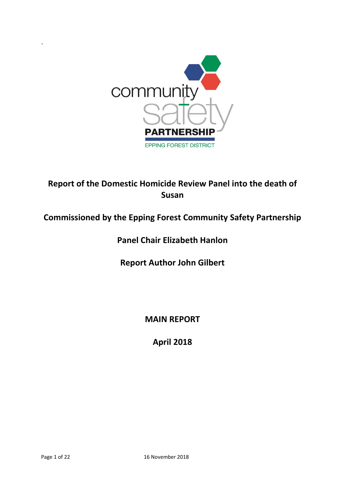

# **Report of the Domestic Homicide Review Panel into the death of Susan**

# **Commissioned by the Epping Forest Community Safety Partnership**

# **Panel Chair Elizabeth Hanlon**

**Report Author John Gilbert**

**MAIN REPORT**

**April 2018**

`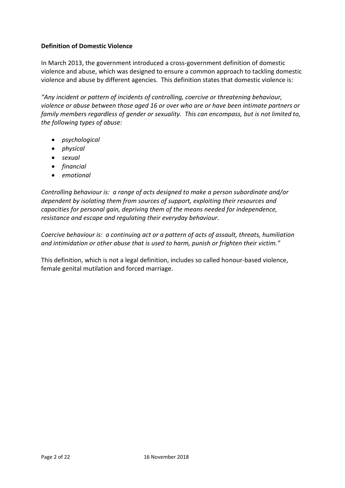## **Definition of Domestic Violence**

In March 2013, the government introduced a cross-government definition of domestic violence and abuse, which was designed to ensure a common approach to tackling domestic violence and abuse by different agencies. This definition states that domestic violence is:

*"Any incident or pattern of incidents of controlling, coercive or threatening behaviour, violence or abuse between those aged 16 or over who are or have been intimate partners or family members regardless of gender or sexuality. This can encompass, but is not limited to, the following types of abuse:*

- *psychological*
- *physical*
- *sexual*
- *financial*
- *emotional*

*Controlling behaviour is: a range of acts designed to make a person subordinate and/or dependent by isolating them from sources of support, exploiting their resources and capacities for personal gain, depriving them of the means needed for independence, resistance and escape and regulating their everyday behaviour.*

*Coercive behaviour is: a continuing act or a pattern of acts of assault, threats, humiliation and intimidation or other abuse that is used to harm, punish or frighten their victim."*

This definition, which is not a legal definition, includes so called honour-based violence, female genital mutilation and forced marriage.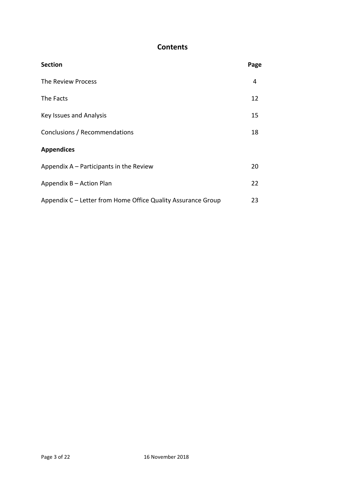# **Contents**

| <b>Section</b>                                               | Page |
|--------------------------------------------------------------|------|
| The Review Process                                           | 4    |
| The Facts                                                    | 12   |
| Key Issues and Analysis                                      | 15   |
| Conclusions / Recommendations                                | 18   |
| <b>Appendices</b>                                            |      |
| Appendix A – Participants in the Review                      | 20   |
| Appendix B - Action Plan                                     | 22   |
| Appendix C – Letter from Home Office Quality Assurance Group | 23   |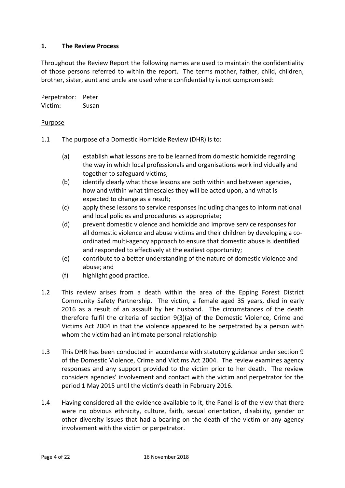## **1. The Review Process**

Throughout the Review Report the following names are used to maintain the confidentiality of those persons referred to within the report. The terms mother, father, child, children, brother, sister, aunt and uncle are used where confidentiality is not compromised:

Perpetrator: Peter Victim: Susan

#### Purpose

- 1.1 The purpose of a Domestic Homicide Review (DHR) is to:
	- (a) establish what lessons are to be learned from domestic homicide regarding the way in which local professionals and organisations work individually and together to safeguard victims;
	- (b) identify clearly what those lessons are both within and between agencies, how and within what timescales they will be acted upon, and what is expected to change as a result;
	- (c) apply these lessons to service responses including changes to inform national and local policies and procedures as appropriate;
	- (d) prevent domestic violence and homicide and improve service responses for all domestic violence and abuse victims and their children by developing a coordinated multi-agency approach to ensure that domestic abuse is identified and responded to effectively at the earliest opportunity;
	- (e) contribute to a better understanding of the nature of domestic violence and abuse; and
	- (f) highlight good practice.
- 1.2 This review arises from a death within the area of the Epping Forest District Community Safety Partnership. The victim, a female aged 35 years, died in early 2016 as a result of an assault by her husband. The circumstances of the death therefore fulfil the criteria of section 9(3)(a) of the Domestic Violence, Crime and Victims Act 2004 in that the violence appeared to be perpetrated by a person with whom the victim had an intimate personal relationship
- 1.3 This DHR has been conducted in accordance with statutory guidance under section 9 of the Domestic Violence, Crime and Victims Act 2004. The review examines agency responses and any support provided to the victim prior to her death. The review considers agencies' involvement and contact with the victim and perpetrator for the period 1 May 2015 until the victim's death in February 2016.
- 1.4 Having considered all the evidence available to it, the Panel is of the view that there were no obvious ethnicity, culture, faith, sexual orientation, disability, gender or other diversity issues that had a bearing on the death of the victim or any agency involvement with the victim or perpetrator.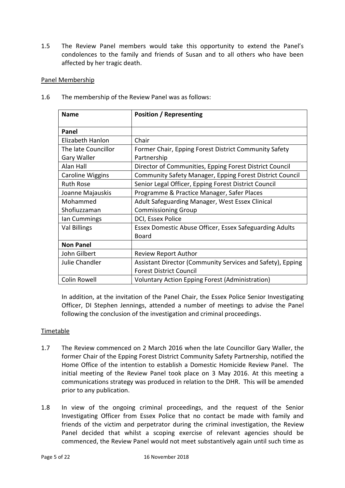1.5 The Review Panel members would take this opportunity to extend the Panel's condolences to the family and friends of Susan and to all others who have been affected by her tragic death.

## Panel Membership

| <b>Name</b>             | Position / Representing                                    |  |  |  |
|-------------------------|------------------------------------------------------------|--|--|--|
| Panel                   |                                                            |  |  |  |
| Elizabeth Hanlon        | Chair                                                      |  |  |  |
| The late Councillor     | Former Chair, Epping Forest District Community Safety      |  |  |  |
| Gary Waller             | Partnership                                                |  |  |  |
| Alan Hall               | Director of Communities, Epping Forest District Council    |  |  |  |
| <b>Caroline Wiggins</b> | Community Safety Manager, Epping Forest District Council   |  |  |  |
| <b>Ruth Rose</b>        | Senior Legal Officer, Epping Forest District Council       |  |  |  |
| Joanne Majauskis        | Programme & Practice Manager, Safer Places                 |  |  |  |
| Mohammed                | Adult Safeguarding Manager, West Essex Clinical            |  |  |  |
| Shofiuzzaman            | <b>Commissioning Group</b>                                 |  |  |  |
| lan Cummings            | DCI, Essex Police                                          |  |  |  |
| <b>Val Billings</b>     | Essex Domestic Abuse Officer, Essex Safeguarding Adults    |  |  |  |
|                         | <b>Board</b>                                               |  |  |  |
| <b>Non Panel</b>        |                                                            |  |  |  |
| John Gilbert            | <b>Review Report Author</b>                                |  |  |  |
| Julie Chandler          | Assistant Director (Community Services and Safety), Epping |  |  |  |
|                         | <b>Forest District Council</b>                             |  |  |  |
| <b>Colin Rowell</b>     | <b>Voluntary Action Epping Forest (Administration)</b>     |  |  |  |

1.6 The membership of the Review Panel was as follows:

In addition, at the invitation of the Panel Chair, the Essex Police Senior Investigating Officer, DI Stephen Jennings, attended a number of meetings to advise the Panel following the conclusion of the investigation and criminal proceedings.

## Timetable

- 1.7 The Review commenced on 2 March 2016 when the late Councillor Gary Waller, the former Chair of the Epping Forest District Community Safety Partnership, notified the Home Office of the intention to establish a Domestic Homicide Review Panel. The initial meeting of the Review Panel took place on 3 May 2016. At this meeting a communications strategy was produced in relation to the DHR. This will be amended prior to any publication.
- 1.8 In view of the ongoing criminal proceedings, and the request of the Senior Investigating Officer from Essex Police that no contact be made with family and friends of the victim and perpetrator during the criminal investigation, the Review Panel decided that whilst a scoping exercise of relevant agencies should be commenced, the Review Panel would not meet substantively again until such time as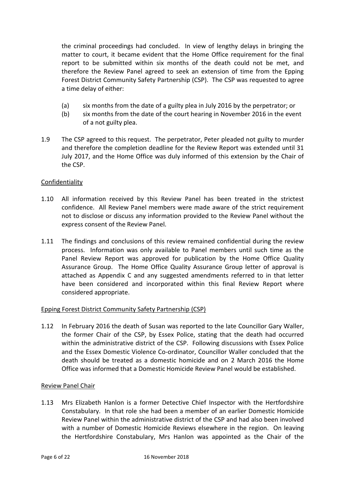the criminal proceedings had concluded. In view of lengthy delays in bringing the matter to court, it became evident that the Home Office requirement for the final report to be submitted within six months of the death could not be met, and therefore the Review Panel agreed to seek an extension of time from the Epping Forest District Community Safety Partnership (CSP). The CSP was requested to agree a time delay of either:

- (a) six months from the date of a guilty plea in July 2016 by the perpetrator; or
- (b) six months from the date of the court hearing in November 2016 in the event of a not guilty plea.
- 1.9 The CSP agreed to this request. The perpetrator, Peter pleaded not guilty to murder and therefore the completion deadline for the Review Report was extended until 31 July 2017, and the Home Office was duly informed of this extension by the Chair of the CSP.

## Confidentiality

- 1.10 All information received by this Review Panel has been treated in the strictest confidence. All Review Panel members were made aware of the strict requirement not to disclose or discuss any information provided to the Review Panel without the express consent of the Review Panel.
- 1.11 The findings and conclusions of this review remained confidential during the review process. Information was only available to Panel members until such time as the Panel Review Report was approved for publication by the Home Office Quality Assurance Group. The Home Office Quality Assurance Group letter of approval is attached as Appendix C and any suggested amendments referred to in that letter have been considered and incorporated within this final Review Report where considered appropriate.

## Epping Forest District Community Safety Partnership (CSP)

1.12 In February 2016 the death of Susan was reported to the late Councillor Gary Waller, the former Chair of the CSP, by Essex Police, stating that the death had occurred within the administrative district of the CSP. Following discussions with Essex Police and the Essex Domestic Violence Co-ordinator, Councillor Waller concluded that the death should be treated as a domestic homicide and on 2 March 2016 the Home Office was informed that a Domestic Homicide Review Panel would be established.

## Review Panel Chair

1.13 Mrs Elizabeth Hanlon is a former Detective Chief Inspector with the Hertfordshire Constabulary. In that role she had been a member of an earlier Domestic Homicide Review Panel within the administrative district of the CSP and had also been involved with a number of Domestic Homicide Reviews elsewhere in the region. On leaving the Hertfordshire Constabulary, Mrs Hanlon was appointed as the Chair of the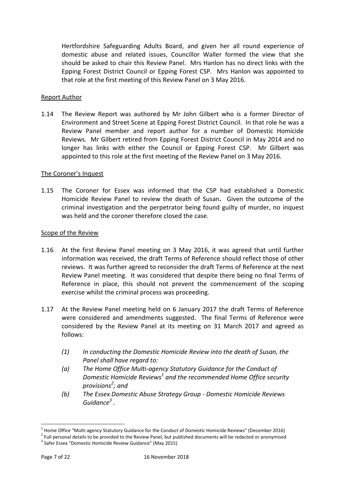Hertfordshire Safeguarding Adults Board, and given her all round experience of domestic abuse and related issues, Councillor Waller formed the view that she should be asked to chair this Review Panel. Mrs Hanlon has no direct links with the Epping Forest District Council or Epping Forest CSP. Mrs Hanlon was appointed to that role at the first meeting of this Review Panel on 3 May 2016.

#### Report Author

1.14 The Review Report was authored by Mr John Gilbert who is a former Director of Environment and Street Scene at Epping Forest District Council. In that role he was a Review Panel member and report author for a number of Domestic Homicide Reviews. Mr Gilbert retired from Epping Forest District Council in May 2014 and no longer has links with either the Council or Epping Forest CSP. Mr Gilbert was appointed to this role at the first meeting of the Review Panel on 3 May 2016.

#### The Coroner's Inquest

1.15 The Coroner for Essex was informed that the CSP had established a Domestic Homicide Review Panel to review the death of Susan**.** Given the outcome of the criminal investigation and the perpetrator being found guilty of murder, no inquest was held and the coroner therefore closed the case.

#### Scope of the Review

- 1.16 At the first Review Panel meeting on 3 May 2016, it was agreed that until further information was received, the draft Terms of Reference should reflect those of other reviews. It was further agreed to reconsider the draft Terms of Reference at the next Review Panel meeting. It was considered that despite there being no final Terms of Reference in place, this should not prevent the commencement of the scoping exercise whilst the criminal process was proceeding.
- 1.17 At the Review Panel meeting held on 6 January 2017 the draft Terms of Reference were considered and amendments suggested. The final Terms of Reference were considered by the Review Panel at its meeting on 31 March 2017 and agreed as follows:
	- *(1) In conducting the Domestic Homicide Review into the death of Susan, the Panel shall have regard to:*
	- *(a) The Home Office Multi-agency Statutory Guidance for the Conduct of Domestic Homicide Reviews<sup>1</sup> and the recommended Home Office security provisions<sup>2</sup> ; and*
	- *(b) The Essex Domestic Abuse Strategy Group - Domestic Homicide Reviews Guidance<sup>3</sup> .*

<span id="page-6-0"></span> $\overline{a}$ 

 $^1$  Home Office "Multi-agency Statutory Guidance for the Conduct of Domestic Homicide Reviews" (December 2016)

 $^2$  Full personal details to be provided to the Review Panel, but published documents will be redacted or anonymised

<sup>&</sup>lt;sup>3</sup> Safer Essex "Domestic Homicide Review Guidance" (May 2015)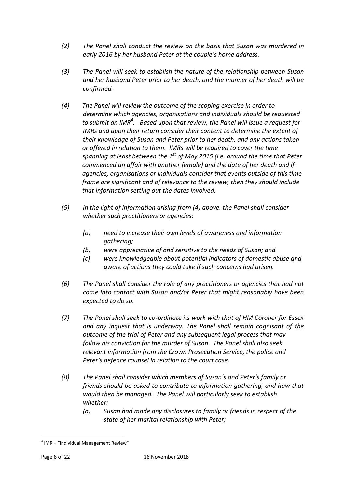- *(2) The Panel shall conduct the review on the basis that Susan was murdered in early 2016 by her husband Peter at the couple's home address.*
- *(3) The Panel will seek to establish the nature of the relationship between Susan and her husband Peter prior to her death, and the manner of her death will be confirmed.*
- *(4) The Panel will review the outcome of the scoping exercise in order to determine which agencies, organisations and individuals should be requested to submit an IMR<sup>4</sup> . Based upon that review, the Panel will issue a request for IMRs and upon their return consider their content to determine the extent of their knowledge of Susan and Peter prior to her death, and any actions taken or offered in relation to them. IMRs will be required to cover the time spanning at least between the 1st of May 2015 (i.e. around the time that Peter commenced an affair with another female) and the date of her death and if agencies, organisations or individuals consider that events outside of this time frame are significant and of relevance to the review, then they should include that information setting out the dates involved.*
- *(5) In the light of information arising from (4) above, the Panel shall consider whether such practitioners or agencies:*
	- *(a) need to increase their own levels of awareness and information gathering;*
	- *(b) were appreciative of and sensitive to the needs of Susan; and*
	- *(c) were knowledgeable about potential indicators of domestic abuse and aware of actions they could take if such concerns had arisen.*
- *(6) The Panel shall consider the role of any practitioners or agencies that had not come into contact with Susan and/or Peter that might reasonably have been expected to do so.*
- *(7) The Panel shall seek to co-ordinate its work with that of HM Coroner for Essex and any inquest that is underway. The Panel shall remain cognisant of the outcome of the trial of Peter and any subsequent legal process that may follow his conviction for the murder of Susan. The Panel shall also seek relevant information from the Crown Prosecution Service, the police and Peter's defence counsel in relation to the court case.*
- *(8) The Panel shall consider which members of Susan's and Peter's family or friends should be asked to contribute to information gathering, and how that would then be managed. The Panel will particularly seek to establish whether:*
	- *(a) Susan had made any disclosures to family or friends in respect of the state of her marital relationship with Peter;*

 $\overline{a}$ 

 $4$  IMR – "Individual Management Review"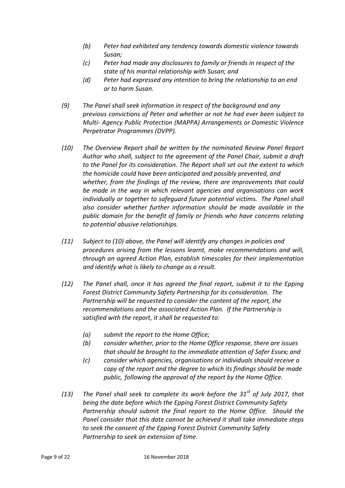- *(b) Peter had exhibited any tendency towards domestic violence towards Susan;*
- *(c) Peter had made any disclosures to family or friends in respect of the state of his marital relationship with Susan; and*
- *(d) Peter had expressed any intention to bring the relationship to an end or to harm Susan.*
- *(9) The Panel shall seek information in respect of the background and any previous convictions of Peter and whether or not he had ever been subject to Multi- Agency Public Protection (MAPPA) Arrangements or Domestic Violence Perpetrator Programmes (DVPP).*
- *(10) The Overview Report shall be written by the nominated Review Panel Report Author who shall, subject to the agreement of the Panel Chair, submit a draft to the Panel for its consideration. The Report shall set out the extent to which the homicide could have been anticipated and possibly prevented, and whether, from the findings of the review, there are improvements that could be made in the way in which relevant agencies and organisations can work individually or together to safeguard future potential victims. The Panel shall also consider whether further information should be made available in the public domain for the benefit of family or friends who have concerns relating to potential abusive relationships.*
- *(11) Subject to (10) above, the Panel will identify any changes in policies and procedures arising from the lessons learnt, make recommendations and will, through an agreed Action Plan, establish timescales for their implementation and identify what is likely to change as a result.*
- *(12) The Panel shall, once it has agreed the final report, submit it to the Epping Forest District Community Safety Partnership for its consideration. The*  Partnership will be requested to consider the content of the report, the *recommendations and the associated Action Plan. If the Partnership is satisfied with the report, it shall be requested to:*
	- *(a) submit the report to the Home Office;*
	- *(b) consider whether, prior to the Home Office response, there are issues that should be brought to the immediate attention of Safer Essex; and*
	- *(c) consider which agencies, organisations or individuals should receive a copy of the report and the degree to which its findings should be made public, following the approval of the report by the Home Office.*
- *(13) The Panel shall seek to complete its work before the 31st of July 2017, that being the date before which the Epping Forest District Community Safety Partnership should submit the final report to the Home Office. Should the Panel consider that this date cannot be achieved it shall take immediate steps to seek the consent of the Epping Forest District Community Safety Partnership to seek an extension of time.*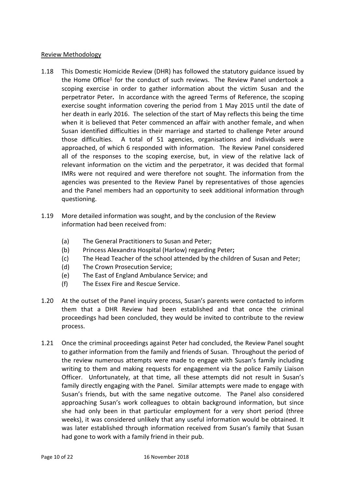## Review Methodology

- 1.18 This Domestic Homicide Review (DHR) has followed the statutory guidance issued by the Home Office<sup>[1](#page-6-0)</sup> for the conduct of such reviews. The Review Panel undertook a scoping exercise in order to gather information about the victim Susan and the perpetrator Peter**.** In accordance with the agreed Terms of Reference, the scoping exercise sought information covering the period from 1 May 2015 until the date of her death in early 2016. The selection of the start of May reflects this being the time when it is believed that Peter commenced an affair with another female, and when Susan identified difficulties in their marriage and started to challenge Peter around those difficulties. A total of 51 agencies, organisations and individuals were approached, of which 6 responded with information. The Review Panel considered all of the responses to the scoping exercise, but, in view of the relative lack of relevant information on the victim and the perpetrator, it was decided that formal IMRs were not required and were therefore not sought. The information from the agencies was presented to the Review Panel by representatives of those agencies and the Panel members had an opportunity to seek additional information through questioning.
- 1.19 More detailed information was sought, and by the conclusion of the Review information had been received from:
	- (a) The General Practitioners to Susan and Peter;
	- (b) Princess Alexandra Hospital (Harlow) regarding Peter**;**
	- (c) The Head Teacher of the school attended by the children of Susan and Peter;
	- (d) The Crown Prosecution Service;
	- (e) The East of England Ambulance Service; and
	- (f) The Essex Fire and Rescue Service.
- 1.20 At the outset of the Panel inquiry process, Susan's parents were contacted to inform them that a DHR Review had been established and that once the criminal proceedings had been concluded, they would be invited to contribute to the review process.
- 1.21 Once the criminal proceedings against Peter had concluded, the Review Panel sought to gather information from the family and friends of Susan. Throughout the period of the review numerous attempts were made to engage with Susan's family including writing to them and making requests for engagement via the police Family Liaison Officer. Unfortunately, at that time, all these attempts did not result in Susan's family directly engaging with the Panel. Similar attempts were made to engage with Susan's friends, but with the same negative outcome. The Panel also considered approaching Susan's work colleagues to obtain background information, but since she had only been in that particular employment for a very short period (three weeks), it was considered unlikely that any useful information would be obtained. It was later established through information received from Susan's family that Susan had gone to work with a family friend in their pub.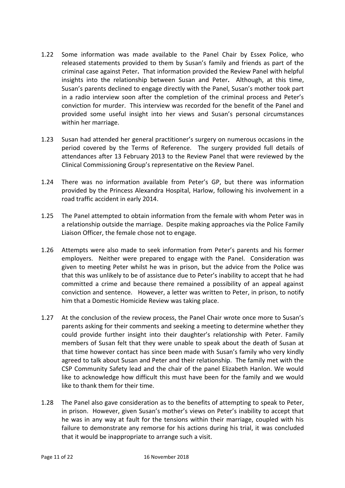- 1.22 Some information was made available to the Panel Chair by Essex Police, who released statements provided to them by Susan's family and friends as part of the criminal case against Peter**.** That information provided the Review Panel with helpful insights into the relationship between Susan and Peter**.** Although, at this time, Susan's parents declined to engage directly with the Panel, Susan's mother took part in a radio interview soon after the completion of the criminal process and Peter's conviction for murder. This interview was recorded for the benefit of the Panel and provided some useful insight into her views and Susan's personal circumstances within her marriage.
- 1.23 Susan had attended her general practitioner's surgery on numerous occasions in the period covered by the Terms of Reference. The surgery provided full details of attendances after 13 February 2013 to the Review Panel that were reviewed by the Clinical Commissioning Group's representative on the Review Panel.
- 1.24 There was no information available from Peter's GP, but there was information provided by the Princess Alexandra Hospital, Harlow, following his involvement in a road traffic accident in early 2014.
- 1.25 The Panel attempted to obtain information from the female with whom Peter was in a relationship outside the marriage. Despite making approaches via the Police Family Liaison Officer, the female chose not to engage.
- 1.26 Attempts were also made to seek information from Peter's parents and his former employers. Neither were prepared to engage with the Panel. Consideration was given to meeting Peter whilst he was in prison, but the advice from the Police was that this was unlikely to be of assistance due to Peter's inability to accept that he had committed a crime and because there remained a possibility of an appeal against conviction and sentence. However, a letter was written to Peter, in prison, to notify him that a Domestic Homicide Review was taking place.
- 1.27 At the conclusion of the review process, the Panel Chair wrote once more to Susan's parents asking for their comments and seeking a meeting to determine whether they could provide further insight into their daughter's relationship with Peter. Family members of Susan felt that they were unable to speak about the death of Susan at that time however contact has since been made with Susan's family who very kindly agreed to talk about Susan and Peter and their relationship. The family met with the CSP Community Safety lead and the chair of the panel Elizabeth Hanlon. We would like to acknowledge how difficult this must have been for the family and we would like to thank them for their time.
- 1.28 The Panel also gave consideration as to the benefits of attempting to speak to Peter, in prison. However, given Susan's mother's views on Peter's inability to accept that he was in any way at fault for the tensions within their marriage, coupled with his failure to demonstrate any remorse for his actions during his trial, it was concluded that it would be inappropriate to arrange such a visit.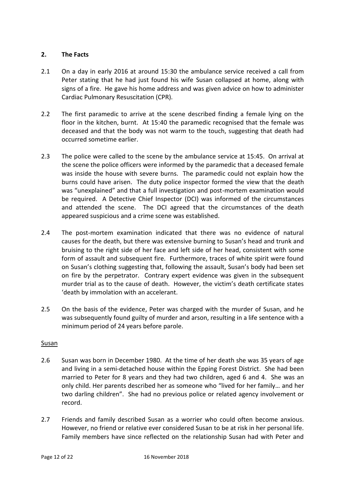## **2. The Facts**

- 2.1 On a day in early 2016 at around 15:30 the ambulance service received a call from Peter stating that he had just found his wife Susan collapsed at home, along with signs of a fire. He gave his home address and was given advice on how to administer Cardiac Pulmonary Resuscitation (CPR).
- 2.2 The first paramedic to arrive at the scene described finding a female lying on the floor in the kitchen, burnt. At 15:40 the paramedic recognised that the female was deceased and that the body was not warm to the touch, suggesting that death had occurred sometime earlier.
- 2.3 The police were called to the scene by the ambulance service at 15:45. On arrival at the scene the police officers were informed by the paramedic that a deceased female was inside the house with severe burns. The paramedic could not explain how the burns could have arisen. The duty police inspector formed the view that the death was "unexplained" and that a full investigation and post-mortem examination would be required. A Detective Chief Inspector (DCI) was informed of the circumstances and attended the scene. The DCI agreed that the circumstances of the death appeared suspicious and a crime scene was established.
- 2.4 The post-mortem examination indicated that there was no evidence of natural causes for the death, but there was extensive burning to Susan's head and trunk and bruising to the right side of her face and left side of her head, consistent with some form of assault and subsequent fire. Furthermore, traces of white spirit were found on Susan's clothing suggesting that, following the assault, Susan's body had been set on fire by the perpetrator. Contrary expert evidence was given in the subsequent murder trial as to the cause of death. However, the victim's death certificate states 'death by immolation with an accelerant.
- 2.5 On the basis of the evidence, Peter was charged with the murder of Susan, and he was subsequently found guilty of murder and arson, resulting in a life sentence with a minimum period of 24 years before parole.

## **Susan**

- 2.6 Susan was born in December 1980. At the time of her death she was 35 years of age and living in a semi-detached house within the Epping Forest District. She had been married to Peter for 8 years and they had two children, aged 6 and 4. She was an only child. Her parents described her as someone who "lived for her family… and her two darling children". She had no previous police or related agency involvement or record.
- 2.7 Friends and family described Susan as a worrier who could often become anxious. However, no friend or relative ever considered Susan to be at risk in her personal life. Family members have since reflected on the relationship Susan had with Peter and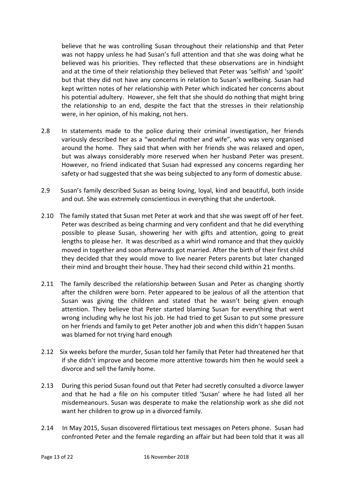believe that he was controlling Susan throughout their relationship and that Peter was not happy unless he had Susan's full attention and that she was doing what he believed was his priorities. They reflected that these observations are in hindsight and at the time of their relationship they believed that Peter was 'selfish' and 'spoilt' but that they did not have any concerns in relation to Susan's wellbeing. Susan had kept written notes of her relationship with Peter which indicated her concerns about his potential adultery. However, she felt that she should do nothing that might bring the relationship to an end, despite the fact that the stresses in their relationship were, in her opinion, of his making, not hers.

- 2.8 In statements made to the police during their criminal investigation, her friends variously described her as a "wonderful mother and wife", who was very organised around the home. They said that when with her friends she was relaxed and open, but was always considerably more reserved when her husband Peter was present. However, no friend indicated that Susan had expressed any concerns regarding her safety or had suggested that she was being subjected to any form of domestic abuse.
- 2.9 Susan's family described Susan as being loving, loyal, kind and beautiful, both inside and out. She was extremely conscientious in everything that she undertook.
- 2.10 The family stated that Susan met Peter at work and that she was swept off of her feet. Peter was described as being charming and very confident and that he did everything possible to please Susan, showering her with gifts and attention, going to great lengths to please her. It was described as a whirl wind romance and that they quickly moved in together and soon afterwards got married. After the birth of their first child they decided that they would move to live nearer Peters parents but later changed their mind and brought their house. They had their second child within 21 months.
- 2.11 The family described the relationship between Susan and Peter as changing shortly after the children were born. Peter appeared to be jealous of all the attention that Susan was giving the children and stated that he wasn't being given enough attention. They believe that Peter started blaming Susan for everything that went wrong including why he lost his job. He had tried to get Susan to put some pressure on her friends and family to get Peter another job and when this didn't happen Susan was blamed for not trying hard enough
- 2.12 Six weeks before the murder, Susan told her family that Peter had threatened her that if she didn't improve and become more attentive towards him then he would seek a divorce and sell the family home.
- 2.13 During this period Susan found out that Peter had secretly consulted a divorce lawyer and that he had a file on his computer titled 'Susan' where he had listed all her misdemeanours. Susan was desperate to make the relationship work as she did not want her children to grow up in a divorced family.
- 2.14 In May 2015, Susan discovered flirtatious text messages on Peters phone. Susan had confronted Peter and the female regarding an affair but had been told that it was all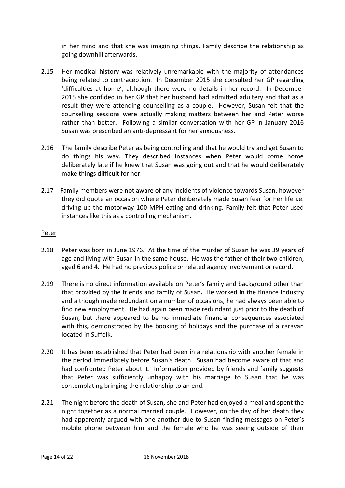in her mind and that she was imagining things. Family describe the relationship as going downhill afterwards.

- 2.15 Her medical history was relatively unremarkable with the majority of attendances being related to contraception. In December 2015 she consulted her GP regarding 'difficulties at home', although there were no details in her record. In December 2015 she confided in her GP that her husband had admitted adultery and that as a result they were attending counselling as a couple. However, Susan felt that the counselling sessions were actually making matters between her and Peter worse rather than better. Following a similar conversation with her GP in January 2016 Susan was prescribed an anti-depressant for her anxiousness.
- 2.16 The family describe Peter as being controlling and that he would try and get Susan to do things his way. They described instances when Peter would come home deliberately late if he knew that Susan was going out and that he would deliberately make things difficult for her.
- 2.17 Family members were not aware of any incidents of violence towards Susan, however they did quote an occasion where Peter deliberately made Susan fear for her life i.e. driving up the motorway 100 MPH eating and drinking. Family felt that Peter used instances like this as a controlling mechanism.

## Peter

- 2.18 Peter was born in June 1976. At the time of the murder of Susan he was 39 years of age and living with Susan in the same house**.** He was the father of their two children, aged 6 and 4. He had no previous police or related agency involvement or record.
- 2.19 There is no direct information available on Peter's family and background other than that provided by the friends and family of Susan**.** He worked in the finance industry and although made redundant on a number of occasions, he had always been able to find new employment. He had again been made redundant just prior to the death of Susan, but there appeared to be no immediate financial consequences associated with this**,** demonstrated by the booking of holidays and the purchase of a caravan located in Suffolk.
- 2.20 It has been established that Peter had been in a relationship with another female in the period immediately before Susan's death. Susan had become aware of that and had confronted Peter about it. Information provided by friends and family suggests that Peter was sufficiently unhappy with his marriage to Susan that he was contemplating bringing the relationship to an end.
- 2.21 The night before the death of Susan**,** she and Peter had enjoyed a meal and spent the night together as a normal married couple. However, on the day of her death they had apparently argued with one another due to Susan finding messages on Peter's mobile phone between him and the female who he was seeing outside of their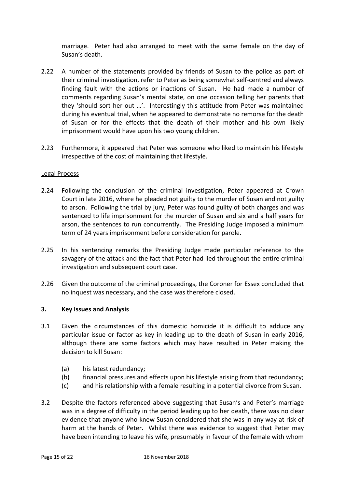marriage. Peter had also arranged to meet with the same female on the day of Susan's death.

- 2.22 A number of the statements provided by friends of Susan to the police as part of their criminal investigation, refer to Peter as being somewhat self-centred and always finding fault with the actions or inactions of Susan**.** He had made a number of comments regarding Susan's mental state, on one occasion telling her parents that they 'should sort her out …'. Interestingly this attitude from Peter was maintained during his eventual trial, when he appeared to demonstrate no remorse for the death of Susan or for the effects that the death of their mother and his own likely imprisonment would have upon his two young children.
- 2.23 Furthermore, it appeared that Peter was someone who liked to maintain his lifestyle irrespective of the cost of maintaining that lifestyle.

## Legal Process

- 2.24 Following the conclusion of the criminal investigation, Peter appeared at Crown Court in late 2016, where he pleaded not guilty to the murder of Susan and not guilty to arson. Following the trial by jury, Peter was found guilty of both charges and was sentenced to life imprisonment for the murder of Susan and six and a half years for arson, the sentences to run concurrently. The Presiding Judge imposed a minimum term of 24 years imprisonment before consideration for parole.
- 2.25 In his sentencing remarks the Presiding Judge made particular reference to the savagery of the attack and the fact that Peter had lied throughout the entire criminal investigation and subsequent court case.
- 2.26 Given the outcome of the criminal proceedings, the Coroner for Essex concluded that no inquest was necessary, and the case was therefore closed.

## **3. Key Issues and Analysis**

- 3.1 Given the circumstances of this domestic homicide it is difficult to adduce any particular issue or factor as key in leading up to the death of Susan in early 2016, although there are some factors which may have resulted in Peter making the decision to kill Susan:
	- (a) his latest redundancy;
	- (b) financial pressures and effects upon his lifestyle arising from that redundancy;
	- (c) and his relationship with a female resulting in a potential divorce from Susan.
- 3.2 Despite the factors referenced above suggesting that Susan's and Peter's marriage was in a degree of difficulty in the period leading up to her death, there was no clear evidence that anyone who knew Susan considered that she was in any way at risk of harm at the hands of Peter**.** Whilst there was evidence to suggest that Peter may have been intending to leave his wife, presumably in favour of the female with whom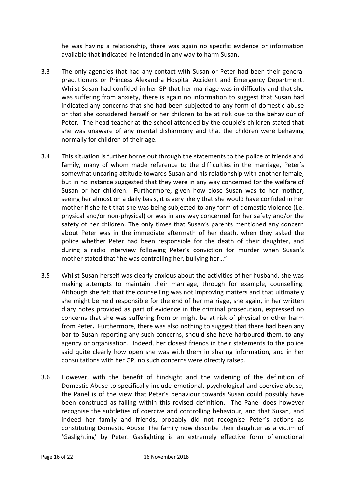he was having a relationship, there was again no specific evidence or information available that indicated he intended in any way to harm Susan**.** 

- 3.3 The only agencies that had any contact with Susan or Peter had been their general practitioners or Princess Alexandra Hospital Accident and Emergency Department. Whilst Susan had confided in her GP that her marriage was in difficulty and that she was suffering from anxiety, there is again no information to suggest that Susan had indicated any concerns that she had been subjected to any form of domestic abuse or that she considered herself or her children to be at risk due to the behaviour of Peter**.** The head teacher at the school attended by the couple's children stated that she was unaware of any marital disharmony and that the children were behaving normally for children of their age.
- 3.4 This situation is further borne out through the statements to the police of friends and family, many of whom made reference to the difficulties in the marriage, Peter's somewhat uncaring attitude towards Susan and his relationship with another female, but in no instance suggested that they were in any way concerned for the welfare of Susan or her children. Furthermore, given how close Susan was to her mother, seeing her almost on a daily basis, it is very likely that she would have confided in her mother if she felt that she was being subjected to any form of domestic violence (i.e. physical and/or non-physical) or was in any way concerned for her safety and/or the safety of her children. The only times that Susan's parents mentioned any concern about Peter was in the immediate aftermath of her death, when they asked the police whether Peter had been responsible for the death of their daughter, and during a radio interview following Peter's conviction for murder when Susan's mother stated that "he was controlling her, bullying her…".
- 3.5 Whilst Susan herself was clearly anxious about the activities of her husband, she was making attempts to maintain their marriage, through for example, counselling. Although she felt that the counselling was not improving matters and that ultimately she might be held responsible for the end of her marriage, she again, in her written diary notes provided as part of evidence in the criminal prosecution, expressed no concerns that she was suffering from or might be at risk of physical or other harm from Peter**.** Furthermore, there was also nothing to suggest that there had been any bar to Susan reporting any such concerns, should she have harboured them, to any agency or organisation. Indeed, her closest friends in their statements to the police said quite clearly how open she was with them in sharing information, and in her consultations with her GP, no such concerns were directly raised.
- 3.6 However, with the benefit of hindsight and the widening of the definition of Domestic Abuse to specifically include emotional, psychological and coercive abuse, the Panel is of the view that Peter's behaviour towards Susan could possibly have been construed as falling within this revised definition. The Panel does however recognise the subtleties of coercive and controlling behaviour, and that Susan, and indeed her family and friends, probably did not recognise Peter's actions as constituting Domestic Abuse. The family now describe their daughter as a victim of 'Gaslighting' by Peter. Gaslighting is an extremely effective form of [emotional](https://www.thehotline.org/is-this-abuse/abuse-defined/#tab-id-2)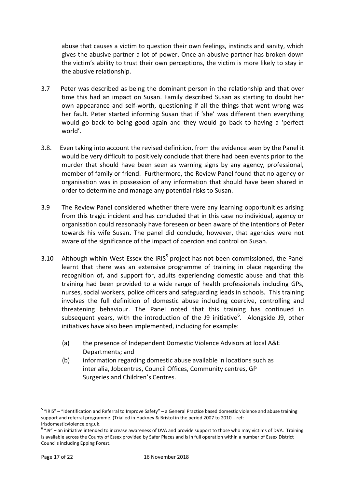[abuse](https://www.thehotline.org/is-this-abuse/abuse-defined/#tab-id-2) that causes a victim to question their own feelings, instincts and sanity, which gives the abusive partner a lot of power. Once an abusive partner has broken down the victim's ability to trust their own perceptions, the victim is more likely to stay in the abusive relationship.

- 3.7 Peter was described as being the dominant person in the relationship and that over time this had an impact on Susan. Family described Susan as starting to doubt her own appearance and self-worth, questioning if all the things that went wrong was her fault. Peter started informing Susan that if 'she' was different then everything would go back to being good again and they would go back to having a 'perfect world'.
- 3.8. Even taking into account the revised definition, from the evidence seen by the Panel it would be very difficult to positively conclude that there had been events prior to the murder that should have been seen as warning signs by any agency, professional, member of family or friend. Furthermore, the Review Panel found that no agency or organisation was in possession of any information that should have been shared in order to determine and manage any potential risks to Susan.
- 3.9 The Review Panel considered whether there were any learning opportunities arising from this tragic incident and has concluded that in this case no individual, agency or organisation could reasonably have foreseen or been aware of the intentions of Peter towards his wife Susan**.** The panel did conclude, however, that agencies were not aware of the significance of the impact of coercion and control on Susan.
- <span id="page-16-1"></span><span id="page-16-0"></span>3.10 Although within West Essex the IRIS<sup>5</sup> project has not been commissioned, the Panel learnt that there was an extensive programme of training in place regarding the recognition of, and support for, adults experiencing domestic abuse and that this training had been provided to a wide range of health professionals including GPs, nurses, social workers, police officers and safeguarding leads in schools. This training involves the full definition of domestic abuse including coercive, controlling and threatening behaviour. The Panel noted that this training has continued in subsequent years, with the introduction of the J9 initiative<sup>6</sup>. Alongside J9, other initiatives have also been implemented, including for example:
	- (a) the presence of Independent Domestic Violence Advisors at local A&E Departments; and
	- (b) information regarding domestic abuse available in locations such as inter alia, Jobcentres, Council Offices, Community centres, GP Surgeries and Children's Centres.

 $\overline{a}$ <sup>5</sup> "IRIS" – "Identification and Referral to Improve Safety" – a General Practice based domestic violence and abuse training support and referral programme. (Trialled in Hackney & Bristol in the period 2007 to 2010 – ref: irisdomesticviolence.org.uk.

 $6$  "J9" – an initiative intended to increase awareness of DVA and provide support to those who may victims of DVA. Training is available across the County of Essex provided by Safer Places and is in full operation within a number of Essex District Councils including Epping Forest.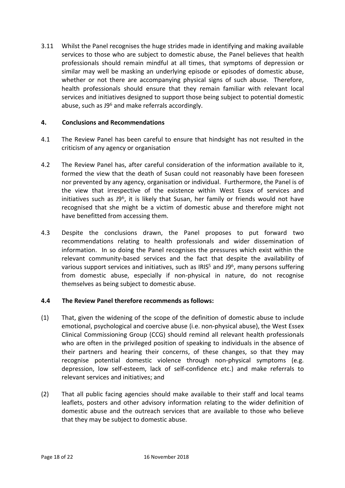3.11 Whilst the Panel recognises the huge strides made in identifying and making available services to those who are subject to domestic abuse, the Panel believes that health professionals should remain mindful at all times, that symptoms of depression or similar may well be masking an underlying episode or episodes of domestic abuse, whether or not there are accompanying physical signs of such abuse. Therefore, health professionals should ensure that they remain familiar with relevant local services and initiatives designed to support those being subject to potential domestic abuse, such as J9[6](#page-16-0) and make referrals accordingly.

## **4. Conclusions and Recommendations**

- 4.1 The Review Panel has been careful to ensure that hindsight has not resulted in the criticism of any agency or organisation
- 4.2 The Review Panel has, after careful consideration of the information available to it, formed the view that the death of Susan could not reasonably have been foreseen nor prevented by any agency, organisation or individual. Furthermore, the Panel is of the view that irrespective of the existence within West Essex of services and initiatives such as  $J9^6$  $J9^6$ , it is likely that Susan, her family or friends would not have recognised that she might be a victim of domestic abuse and therefore might not have benefitted from accessing them.
- 4.3 Despite the conclusions drawn, the Panel proposes to put forward two recommendations relating to health professionals and wider dissemination of information. In so doing the Panel recognises the pressures which exist within the relevant community-based services and the fact that despite the availability of various support services and initiatives, such as  $IRIS<sup>5</sup>$  $IRIS<sup>5</sup>$  $IRIS<sup>5</sup>$  and J9<sup>[6](#page-16-0)</sup>, many persons suffering from domestic abuse, especially if non-physical in nature, do not recognise themselves as being subject to domestic abuse.

## **4.4 The Review Panel therefore recommends as follows:**

- (1) That, given the widening of the scope of the definition of domestic abuse to include emotional, psychological and coercive abuse (i.e. non-physical abuse), the West Essex Clinical Commissioning Group (CCG) should remind all relevant health professionals who are often in the privileged position of speaking to individuals in the absence of their partners and hearing their concerns, of these changes, so that they may recognise potential domestic violence through non-physical symptoms (e.g. depression, low self-esteem, lack of self-confidence etc.) and make referrals to relevant services and initiatives; and
- (2) That all public facing agencies should make available to their staff and local teams leaflets, posters and other advisory information relating to the wider definition of domestic abuse and the outreach services that are available to those who believe that they may be subject to domestic abuse.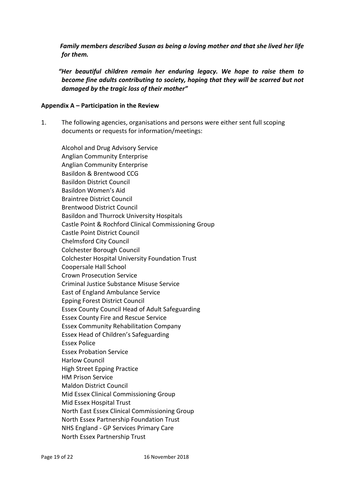*Family members described Susan as being a loving mother and that she lived her life for them.* 

 *"Her beautiful children remain her enduring legacy. We hope to raise them to become fine adults contributing to society, hoping that they will be scarred but not damaged by the tragic loss of their mother"*

## **Appendix A – Participation in the Review**

1. The following agencies, organisations and persons were either sent full scoping documents or requests for information/meetings:

Alcohol and Drug Advisory Service Anglian Community Enterprise Anglian Community Enterprise Basildon & Brentwood CCG Basildon District Council Basildon Women's Aid Braintree District Council Brentwood District Council Basildon and Thurrock University Hospitals Castle Point & Rochford Clinical Commissioning Group Castle Point District Council Chelmsford City Council Colchester Borough Council Colchester Hospital University Foundation Trust Coopersale Hall School Crown Prosecution Service Criminal Justice Substance Misuse Service East of England Ambulance Service Epping Forest District Council Essex County Council Head of Adult Safeguarding Essex County Fire and Rescue Service Essex Community Rehabilitation Company Essex Head of Children's Safeguarding Essex Police Essex Probation Service Harlow Council High Street Epping Practice HM Prison Service Maldon District Council Mid Essex Clinical Commissioning Group Mid Essex Hospital Trust North East Essex Clinical Commissioning Group North Essex Partnership Foundation Trust NHS England - GP Services Primary Care North Essex Partnership Trust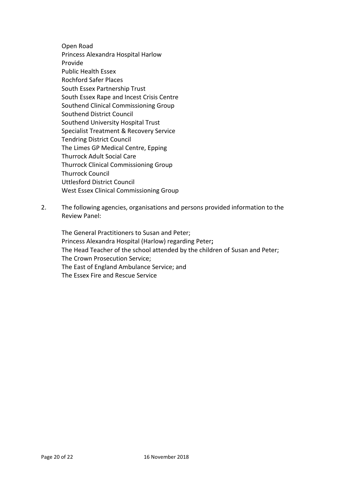Open Road Princess Alexandra Hospital Harlow Provide Public Health Essex Rochford Safer Places South Essex Partnership Trust South Essex Rape and Incest Crisis Centre Southend Clinical Commissioning Group Southend District Council Southend University Hospital Trust Specialist Treatment & Recovery Service Tendring District Council The Limes GP Medical Centre, Epping Thurrock Adult Social Care Thurrock Clinical Commissioning Group Thurrock Council Uttlesford District Council West Essex Clinical Commissioning Group

2. The following agencies, organisations and persons provided information to the Review Panel:

The General Practitioners to Susan and Peter; Princess Alexandra Hospital (Harlow) regarding Peter**;** The Head Teacher of the school attended by the children of Susan and Peter; The Crown Prosecution Service; The East of England Ambulance Service; and The Essex Fire and Rescue Service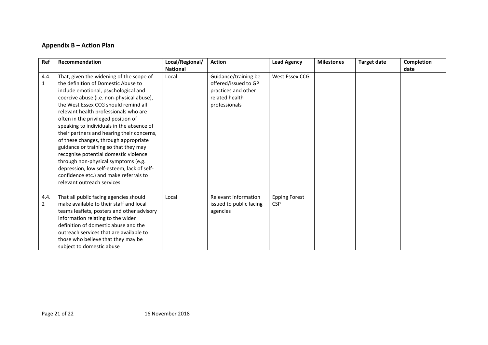## **Appendix B – Action Plan**

| Ref                  | Recommendation                                                                                                                                                                                                                                                                                                                                                                                                                                                                                                                                                                                                                                                                  | Local/Regional/<br><b>National</b> | <b>Action</b>                                                                                          | <b>Lead Agency</b>                 | <b>Milestones</b> | <b>Target date</b> | Completion<br>date |
|----------------------|---------------------------------------------------------------------------------------------------------------------------------------------------------------------------------------------------------------------------------------------------------------------------------------------------------------------------------------------------------------------------------------------------------------------------------------------------------------------------------------------------------------------------------------------------------------------------------------------------------------------------------------------------------------------------------|------------------------------------|--------------------------------------------------------------------------------------------------------|------------------------------------|-------------------|--------------------|--------------------|
| 4.4.<br>$\mathbf{1}$ | That, given the widening of the scope of<br>the definition of Domestic Abuse to<br>include emotional, psychological and<br>coercive abuse (i.e. non-physical abuse),<br>the West Essex CCG should remind all<br>relevant health professionals who are<br>often in the privileged position of<br>speaking to individuals in the absence of<br>their partners and hearing their concerns,<br>of these changes, through appropriate<br>guidance or training so that they may<br>recognise potential domestic violence<br>through non-physical symptoms (e.g.<br>depression, low self-esteem, lack of self-<br>confidence etc.) and make referrals to<br>relevant outreach services | Local                              | Guidance/training be<br>offered/issued to GP<br>practices and other<br>related health<br>professionals | West Essex CCG                     |                   |                    |                    |
| 4.4.<br>2            | That all public facing agencies should<br>make available to their staff and local<br>teams leaflets, posters and other advisory<br>information relating to the wider<br>definition of domestic abuse and the<br>outreach services that are available to<br>those who believe that they may be<br>subject to domestic abuse                                                                                                                                                                                                                                                                                                                                                      | Local                              | Relevant information<br>issued to public facing<br>agencies                                            | <b>Epping Forest</b><br><b>CSP</b> |                   |                    |                    |